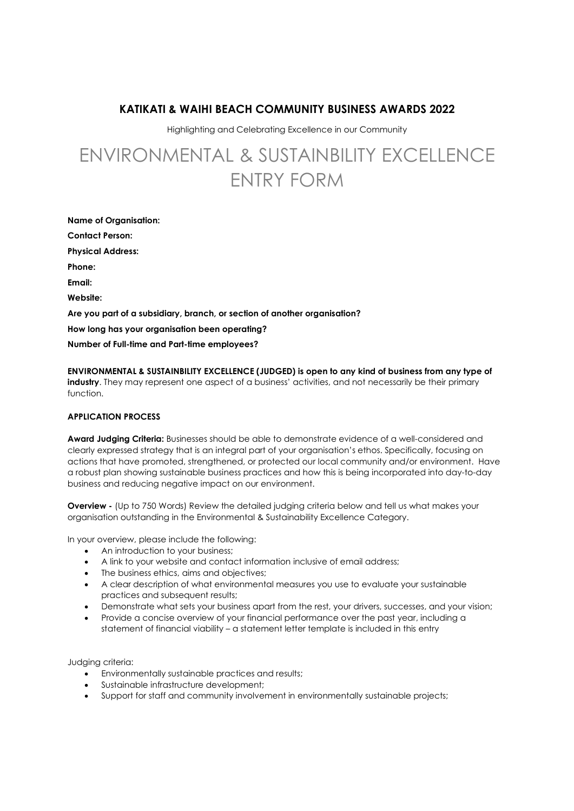# KATIKATI & WAIHI BEACH COMMUNITY BUSINESS AWARDS 2022

Highlighting and Celebrating Excellence in our Community

# ENVIRONMENTAL & SUSTAINBILITY EXCELLENCE ENTRY FORM

Name of Organisation: Contact Person: Physical Address: Phone: Email: Website: Are you part of a subsidiary, branch, or section of another organisation? How long has your organisation been operating? Number of Full-time and Part-time employees?

ENVIRONMENTAL & SUSTAINBILITY EXCELLENCE (JUDGED) is open to any kind of business from any type of industry. They may represent one aspect of a business' activities, and not necessarily be their primary function.

## APPLICATION PROCESS

Award Judging Criteria: Businesses should be able to demonstrate evidence of a well-considered and clearly expressed strategy that is an integral part of your organisation's ethos. Specifically, focusing on actions that have promoted, strengthened, or protected our local community and/or environment. Have a robust plan showing sustainable business practices and how this is being incorporated into day-to-day business and reducing negative impact on our environment.

Overview - (Up to 750 Words) Review the detailed judging criteria below and tell us what makes your organisation outstanding in the Environmental & Sustainability Excellence Category.

In your overview, please include the following:

- An introduction to your business;
- A link to your website and contact information inclusive of email address;
- The business ethics, aims and objectives;
- A clear description of what environmental measures you use to evaluate your sustainable practices and subsequent results;
- Demonstrate what sets your business apart from the rest, your drivers, successes, and your vision;
- Provide a concise overview of your financial performance over the past year, including a statement of financial viability – a statement letter template is included in this entry

Judging criteria:

- Environmentally sustainable practices and results;
- Sustainable infrastructure development;
- Support for staff and community involvement in environmentally sustainable projects;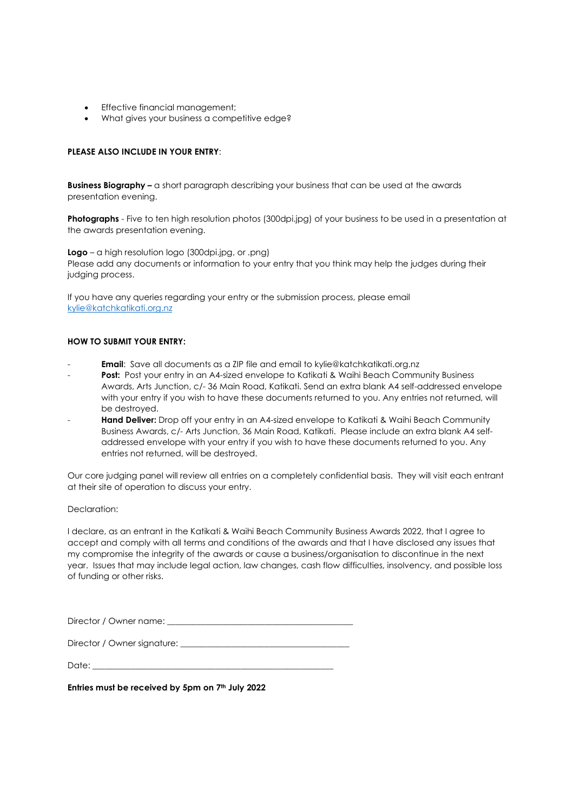- Effective financial management;
- What gives your business a competitive edge?

### PLEASE ALSO INCLUDE IN YOUR ENTRY:

**Business Biography – a short paragraph describing your business that can be used at the awards** presentation evening.

**Photographs** - Five to ten high resolution photos (300dpi.jpg) of your business to be used in a presentation at the awards presentation evening.

Logo – a high resolution logo (300dpi.jpg, or .png)

Please add any documents or information to your entry that you think may help the judges during their judging process.

If you have any queries regarding your entry or the submission process, please email kylie@katchkatikati.org.nz

#### HOW TO SUBMIT YOUR ENTRY:

- **Email:** Save all documents as a ZIP file and email to kylie@katchkatikati.org.nz
- Post: Post your entry in an A4-sized envelope to Katikati & Waihi Beach Community Business Awards, Arts Junction, c/- 36 Main Road, Katikati. Send an extra blank A4 self-addressed envelope with your entry if you wish to have these documents returned to you. Any entries not returned, will be destroyed.
- Hand Deliver: Drop off your entry in an A4-sized envelope to Katikati & Waihi Beach Community Business Awards, c/- Arts Junction, 36 Main Road, Katikati. Please include an extra blank A4 selfaddressed envelope with your entry if you wish to have these documents returned to you. Any entries not returned, will be destroyed.

Our core judging panel will review all entries on a completely confidential basis. They will visit each entrant at their site of operation to discuss your entry.

#### Declaration:

I declare, as an entrant in the Katikati & Waihi Beach Community Business Awards 2022, that I agree to accept and comply with all terms and conditions of the awards and that I have disclosed any issues that my compromise the integrity of the awards or cause a business/organisation to discontinue in the next year. Issues that may include legal action, law changes, cash flow difficulties, insolvency, and possible loss of funding or other risks.

Director / Owner name:

Director / Owner signature:

Date: \_\_\_\_\_\_\_\_\_\_\_\_\_\_\_\_\_\_\_\_\_\_\_\_\_\_\_\_\_\_\_\_\_\_\_\_\_\_\_\_\_\_\_\_\_\_\_\_\_\_\_\_\_\_\_\_\_

Entries must be received by 5pm on 7<sup>th</sup> July 2022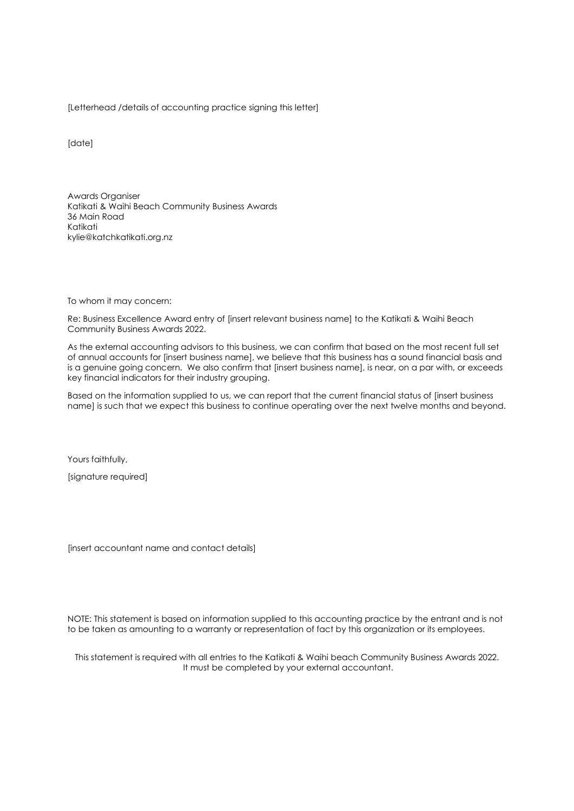[Letterhead /details of accounting practice signing this letter]

[date]

Awards Organiser Katikati & Waihi Beach Community Business Awards 36 Main Road Katikati kylie@katchkatikati.org.nz

To whom it may concern:

Re: Business Excellence Award entry of [insert relevant business name] to the Katikati & Waihi Beach Community Business Awards 2022.

As the external accounting advisors to this business, we can confirm that based on the most recent full set of annual accounts for [insert business name], we believe that this business has a sound financial basis and is a genuine going concern. We also confirm that [insert business name], is near, on a par with, or exceeds key financial indicators for their industry grouping.

Based on the information supplied to us, we can report that the current financial status of [insert business name] is such that we expect this business to continue operating over the next twelve months and beyond.

Yours faithfully,

[signature required]

[insert accountant name and contact details]

NOTE: This statement is based on information supplied to this accounting practice by the entrant and is not to be taken as amounting to a warranty or representation of fact by this organization or its employees.

This statement is required with all entries to the Katikati & Waihi beach Community Business Awards 2022. It must be completed by your external accountant.